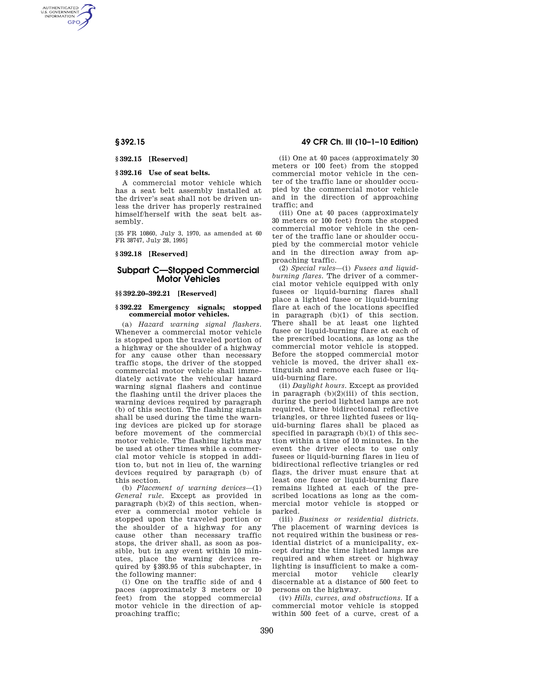AUTHENTICATED<br>U.S. GOVERNMENT<br>INFORMATION **GPO** 

## **§ 392.15 [Reserved]**

#### **§ 392.16 Use of seat belts.**

A commercial motor vehicle which has a seat belt assembly installed at the driver's seat shall not be driven unless the driver has properly restrained himself/herself with the seat belt assembly.

[35 FR 10860, July 3, 1970, as amended at 60 FR 38747, July 28, 1995]

**§ 392.18 [Reserved]** 

# **Subpart C—Stopped Commercial Motor Vehicles**

## **§§ 392.20–392.21 [Reserved]**

#### **§ 392.22 Emergency signals; stopped commercial motor vehicles.**

(a) *Hazard warning signal flashers.*  Whenever a commercial motor vehicle is stopped upon the traveled portion of a highway or the shoulder of a highway for any cause other than necessary traffic stops, the driver of the stopped commercial motor vehicle shall immediately activate the vehicular hazard warning signal flashers and continue the flashing until the driver places the warning devices required by paragraph (b) of this section. The flashing signals shall be used during the time the warning devices are picked up for storage before movement of the commercial motor vehicle. The flashing lights may be used at other times while a commercial motor vehicle is stopped in addition to, but not in lieu of, the warning devices required by paragraph (b) of this section.

(b) *Placement of warning devices*—(1) *General rule.* Except as provided in paragraph (b)(2) of this section, whenever a commercial motor vehicle is stopped upon the traveled portion or the shoulder of a highway for any cause other than necessary traffic stops, the driver shall, as soon as possible, but in any event within 10 minutes, place the warning devices required by §393.95 of this subchapter, in the following manner:

(i) One on the traffic side of and 4 paces (approximately 3 meters or 10 feet) from the stopped commercial motor vehicle in the direction of approaching traffic;

## **§ 392.15 49 CFR Ch. III (10–1–10 Edition)**

(ii) One at 40 paces (approximately 30 meters or 100 feet) from the stopped commercial motor vehicle in the center of the traffic lane or shoulder occupied by the commercial motor vehicle and in the direction of approaching traffic; and

(iii) One at 40 paces (approximately 30 meters or 100 feet) from the stopped commercial motor vehicle in the center of the traffic lane or shoulder occupied by the commercial motor vehicle and in the direction away from approaching traffic.

(2) *Special rules*—(i) *Fusees and liquidburning flares.* The driver of a commercial motor vehicle equipped with only fusees or liquid-burning flares shall place a lighted fusee or liquid-burning flare at each of the locations specified in paragraph (b)(1) of this section. There shall be at least one lighted fusee or liquid-burning flare at each of the prescribed locations, as long as the commercial motor vehicle is stopped. Before the stopped commercial motor vehicle is moved, the driver shall extinguish and remove each fusee or liquid-burning flare.

(ii) *Daylight hours.* Except as provided in paragraph (b)(2)(iii) of this section, during the period lighted lamps are not required, three bidirectional reflective triangles, or three lighted fusees or liquid-burning flares shall be placed as specified in paragraph (b)(1) of this section within a time of 10 minutes. In the event the driver elects to use only fusees or liquid-burning flares in lieu of bidirectional reflective triangles or red flags, the driver must ensure that at least one fusee or liquid-burning flare remains lighted at each of the prescribed locations as long as the commercial motor vehicle is stopped or parked.

(iii) *Business or residential districts.*  The placement of warning devices is not required within the business or residential district of a municipality, except during the time lighted lamps are required and when street or highway lighting is insufficient to make a comvehicle discernable at a distance of 500 feet to persons on the highway.

(iv) *Hills, curves, and obstructions.* If a commercial motor vehicle is stopped within 500 feet of a curve, crest of a